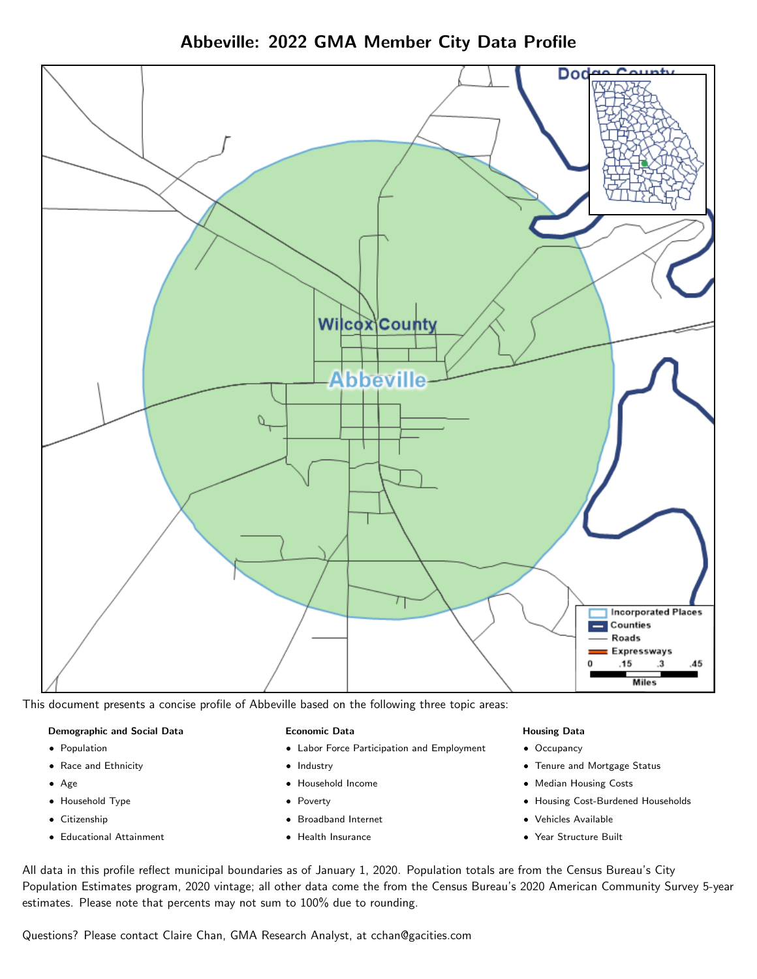Abbeville: 2022 GMA Member City Data Profile



This document presents a concise profile of Abbeville based on the following three topic areas:

## Demographic and Social Data

- **•** Population
- Race and Ethnicity
- Age
- Household Type
- **Citizenship**
- Educational Attainment

## Economic Data

- Labor Force Participation and Employment
- Industry
- Household Income
- Poverty
- Broadband Internet
- Health Insurance

## Housing Data

- Occupancy
- Tenure and Mortgage Status
- Median Housing Costs
- Housing Cost-Burdened Households
- Vehicles Available
- Year Structure Built

All data in this profile reflect municipal boundaries as of January 1, 2020. Population totals are from the Census Bureau's City Population Estimates program, 2020 vintage; all other data come the from the Census Bureau's 2020 American Community Survey 5-year estimates. Please note that percents may not sum to 100% due to rounding.

Questions? Please contact Claire Chan, GMA Research Analyst, at [cchan@gacities.com.](mailto:cchan@gacities.com)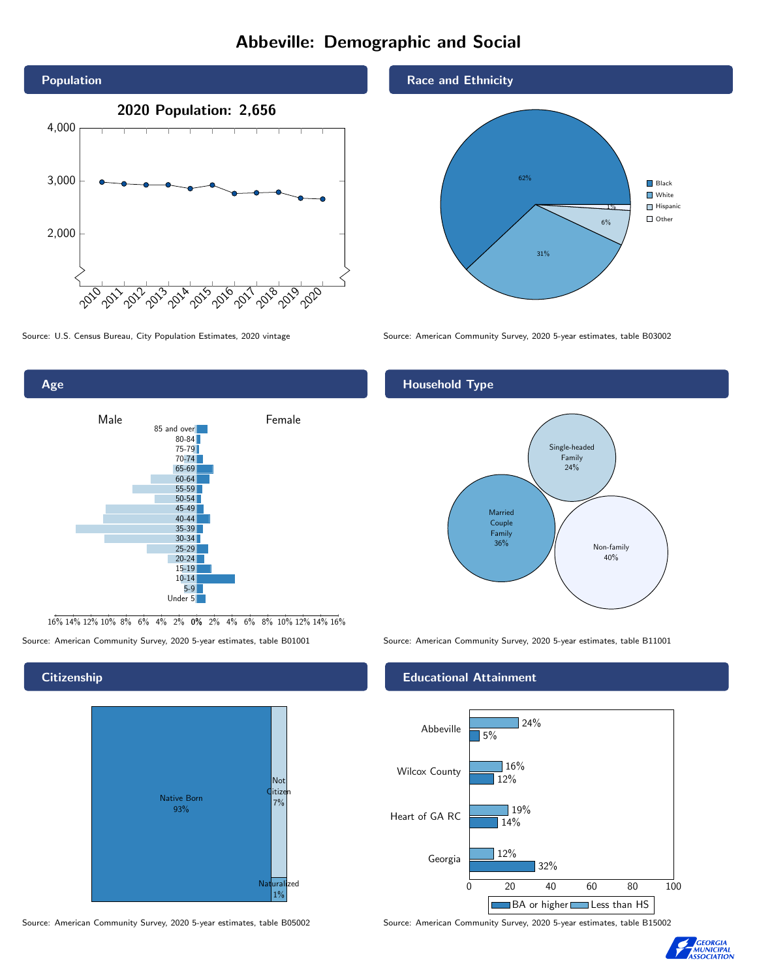# Abbeville: Demographic and Social





16% 14% 12% 10% 8% 6% 4% 2% 0% 2% 4% 6% 8% 10% 12% 14% 16%

Source: American Community Survey, 2020 5-year estimates, table B01001 Source: American Community Survey, 2020 5-year estimates, table B11001

## **Citizenship**



Source: American Community Survey, 2020 5-year estimates, table B05002 Source: American Community Survey, 2020 5-year estimates, table B15002

## Race and Ethnicity



Source: U.S. Census Bureau, City Population Estimates, 2020 vintage Source: American Community Survey, 2020 5-year estimates, table B03002

## Household Type



## Educational Attainment



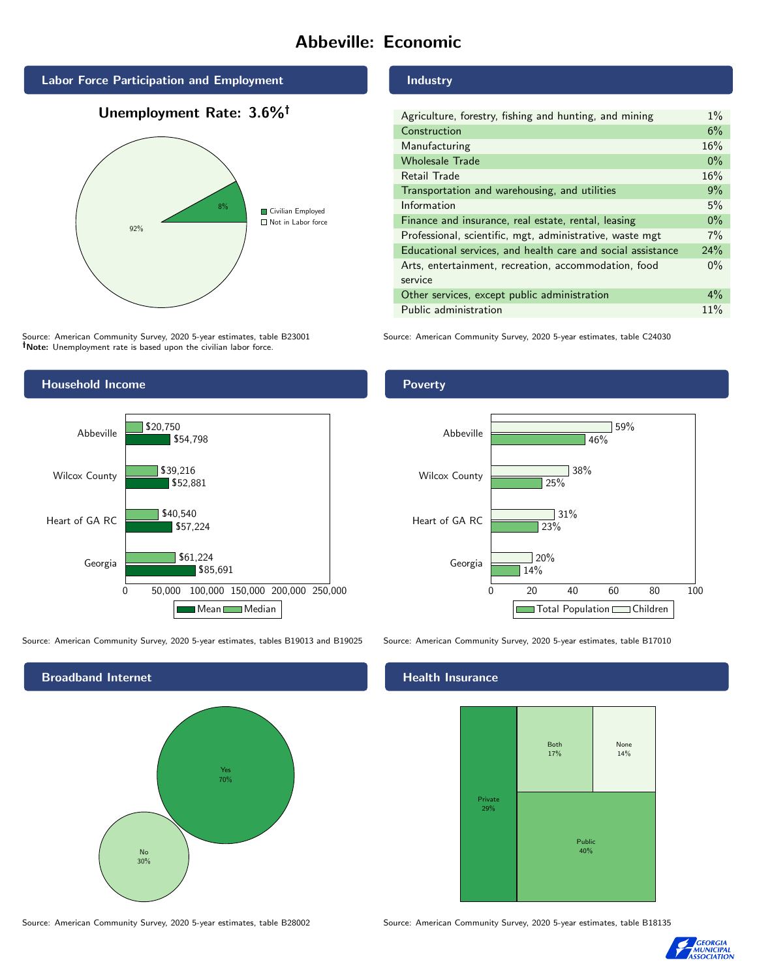# Abbeville: Economic

## Labor Force Participation and Employment

## Unemployment Rate: 3.6%



Source: American Community Survey, 2020 5-year estimates, table B23001 Note: Unemployment rate is based upon the civilian labor force.

## Industry

| Agriculture, forestry, fishing and hunting, and mining      | $1\%$ |
|-------------------------------------------------------------|-------|
| Construction                                                | 6%    |
| Manufacturing                                               | 16%   |
| <b>Wholesale Trade</b>                                      | $0\%$ |
| Retail Trade                                                | 16%   |
| Transportation and warehousing, and utilities               | 9%    |
| Information                                                 | 5%    |
| Finance and insurance, real estate, rental, leasing         | $0\%$ |
| Professional, scientific, mgt, administrative, waste mgt    | 7%    |
| Educational services, and health care and social assistance | 24%   |
| Arts, entertainment, recreation, accommodation, food        | $0\%$ |
| service                                                     |       |
| Other services, except public administration                | $4\%$ |
| Public administration                                       | 11%   |

Source: American Community Survey, 2020 5-year estimates, table C24030



Source: American Community Survey, 2020 5-year estimates, tables B19013 and B19025 Source: American Community Survey, 2020 5-year estimates, table B17010



Source: American Community Survey, 2020 5-year estimates, table B28002 Source: American Community Survey, 2020 5-year estimates, table B18135

## Poverty



## **Health Insurance**